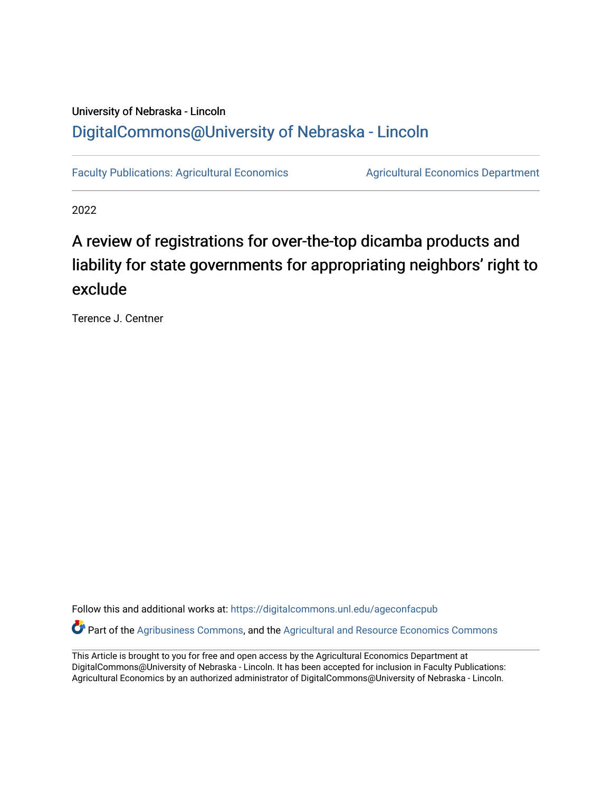# University of Nebraska - Lincoln [DigitalCommons@University of Nebraska - Lincoln](https://digitalcommons.unl.edu/)

[Faculty Publications: Agricultural Economics](https://digitalcommons.unl.edu/ageconfacpub) [Agricultural Economics Department](https://digitalcommons.unl.edu/ag_econ) 

2022

# A review of registrations for over-the-top dicamba products and liability for state governments for appropriating neighbors' right to exclude

Terence J. Centner

Follow this and additional works at: [https://digitalcommons.unl.edu/ageconfacpub](https://digitalcommons.unl.edu/ageconfacpub?utm_source=digitalcommons.unl.edu%2Fageconfacpub%2F227&utm_medium=PDF&utm_campaign=PDFCoverPages) Part of the [Agribusiness Commons,](http://network.bepress.com/hgg/discipline/1051?utm_source=digitalcommons.unl.edu%2Fageconfacpub%2F227&utm_medium=PDF&utm_campaign=PDFCoverPages) and the [Agricultural and Resource Economics Commons](http://network.bepress.com/hgg/discipline/317?utm_source=digitalcommons.unl.edu%2Fageconfacpub%2F227&utm_medium=PDF&utm_campaign=PDFCoverPages)

This Article is brought to you for free and open access by the Agricultural Economics Department at DigitalCommons@University of Nebraska - Lincoln. It has been accepted for inclusion in Faculty Publications: Agricultural Economics by an authorized administrator of DigitalCommons@University of Nebraska - Lincoln.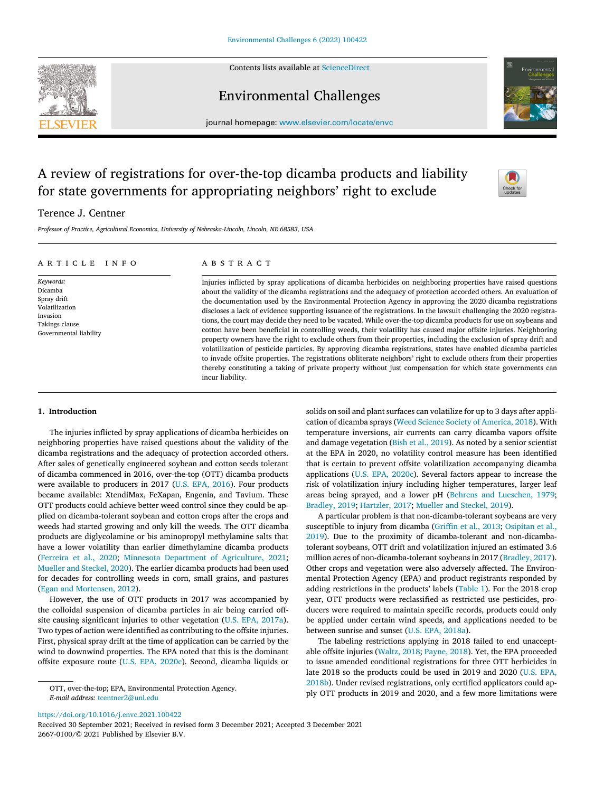Contents lists available at [ScienceDirect](http://www.ScienceDirect.com)



# Environmental Challenges



journal homepage: [www.elsevier.com/locate/envc](http://www.elsevier.com/locate/envc)

# A review of registrations for over-the-top dicamba products and liability for state governments for appropriating neighbors' right to exclude

# Terence J. Centner

*Professor of Practice, Agricultural Economics, University of Nebraska-Lincoln, Lincoln, NE 68583, USA*

# a r t i c l e i n f o

*Keywords:* Dicamba Spray drift Volatilization Invasion Takings clause Governmental liability

# a b s t r a c t

Injuries inflicted by spray applications of dicamba herbicides on neighboring properties have raised questions about the validity of the dicamba registrations and the adequacy of protection accorded others. An evaluation of the documentation used by the Environmental Protection Agency in approving the 2020 dicamba registrations discloses a lack of evidence supporting issuance of the registrations. In the lawsuit challenging the 2020 registrations, the court may decide they need to be vacated. While over-the-top dicamba products for use on soybeans and cotton have been beneficial in controlling weeds, their volatility has caused major offsite injuries. Neighboring property owners have the right to exclude others from their properties, including the exclusion of spray drift and volatilization of pesticide particles. By approving dicamba registrations, states have enabled dicamba particles to invade offsite properties. The registrations obliterate neighbors' right to exclude others from their properties thereby constituting a taking of private property without just compensation for which state governments can incur liability.

### **1. Introduction**

The injuries inflicted by spray applications of dicamba herbicides on neighboring properties have raised questions about the validity of the dicamba registrations and the adequacy of protection accorded others. After sales of genetically engineered soybean and cotton seeds tolerant of dicamba commenced in 2016, over-the-top (OTT) dicamba products were available to producers in 2017 (U.S. EPA, [2016\)](#page-5-0). Four products became available: XtendiMax, FeXapan, Engenia, and Tavium. These OTT products could achieve better weed control since they could be applied on dicamba-tolerant soybean and cotton crops after the crops and weeds had started growing and only kill the weeds. The OTT dicamba products are diglycolamine or bis aminopropyl methylamine salts that have a lower volatility than earlier dimethylamine dicamba products [\(Ferreira](#page-5-0) et al., 2020; Minnesota Department of [Agriculture,](#page-5-0) 2021; Mueller and [Steckel,](#page-5-0) 2020). The earlier dicamba products had been used for decades for controlling weeds in corn, small grains, and pastures (Egan and [Mortensen,](#page-5-0) 2012).

However, the use of OTT products in 2017 was accompanied by the colloidal suspension of dicamba particles in air being carried offsite causing significant injuries to other vegetation (U.S. EPA, [2017a\)](#page-5-0). Two types of action were identified as contributing to the offsite injuries. First, physical spray drift at the time of application can be carried by the wind to downwind properties. The EPA noted that this is the dominant offsite exposure route (U.S. EPA, [2020c\)](#page-5-0). Second, dicamba liquids or solids on soil and plant surfaces can volatilize for up to 3 days after application of dicamba sprays (Weed Science Society of [America,](#page-5-0) 2018). With temperature inversions, air currents can carry dicamba vapors offsite and damage vegetation (Bish et al., [2019\)](#page-5-0). As noted by a senior scientist at the EPA in 2020, no volatility control measure has been identified that is certain to prevent offsite volatilization accompanying dicamba applications (U.S. EPA, [2020c\)](#page-5-0). Several factors appear to increase the risk of volatilization injury including higher temperatures, larger leaf areas being sprayed, and a lower pH (Behrens and [Lueschen,](#page-5-0) 1979; [Bradley,](#page-5-0) 2019; [Hartzler,](#page-5-0) 2017; Mueller and [Steckel,](#page-5-0) 2019).

A particular problem is that non-dicamba-tolerant soybeans are very susceptible to injury from dicamba [\(Griffin](#page-5-0) et al., 2013; Osipitan et al., 2019). Due to the proximity of [dicamba-tolerant](#page-5-0) and non-dicambatolerant soybeans, OTT drift and volatilization injured an estimated 3.6 million acres of non-dicamba-tolerant soybeans in 2017 [\(Bradley,](#page-5-0) 2017). Other crops and vegetation were also adversely affected. The Environmental Protection Agency (EPA) and product registrants responded by adding restrictions in the products' labels [\(Table](#page-2-0) 1). For the 2018 crop year, OTT products were reclassified as restricted use pesticides, producers were required to maintain specific records, products could only be applied under certain wind speeds, and applications needed to be between sunrise and sunset (U.S. EPA, [2018a\)](#page-5-0).

The labeling restrictions applying in 2018 failed to end unacceptable offsite injuries [\(Waltz,](#page-5-0) 2018; [Payne,](#page-5-0) 2018). Yet, the EPA proceeded to issue amended conditional registrations for three OTT herbicides in late 2018 so the products could be used in 2019 and 2020 (U.S. EPA, 2018b). Under revised [registrations,](#page-5-0) only certified applicators could apply OTT products in 2019 and 2020, and a few more limitations were

<https://doi.org/10.1016/j.envc.2021.100422>

Received 30 September 2021; Received in revised form 3 December 2021; Accepted 3 December 2021 2667-0100/© 2021 Published by Elsevier B.V.

OTT, over-the-top; EPA, Environmental Protection Agency. *E-mail address:* [tcentner2@unl.edu](mailto:tcentner2@unl.edu)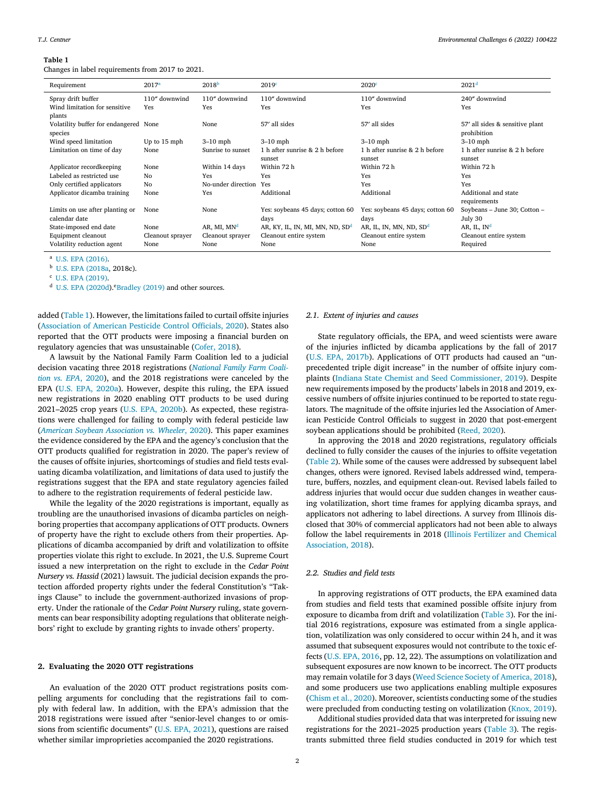#### <span id="page-2-0"></span>**Table 1**

Changes in label requirements from 2017 to 2021.

| Requirement                           | 2017 <sup>a</sup> | 2018 <sup>b</sup>       | 2019 <sup>c</sup>                 | 2020c                               | 2021 <sup>d</sup>               |
|---------------------------------------|-------------------|-------------------------|-----------------------------------|-------------------------------------|---------------------------------|
| Spray drift buffer                    | 110" downwind     | 110" downwind           | 110" downwind                     | 110" downwind                       | 240" downwind                   |
| Wind limitation for sensitive         | Yes               | Yes                     | Yes                               | Yes                                 | Yes                             |
| plants                                |                   |                         |                                   |                                     |                                 |
| Volatility buffer for endangered None |                   | None                    | 57' all sides                     | 57' all sides                       | 57' all sides & sensitive plant |
| species                               |                   |                         |                                   |                                     | prohibition                     |
| Wind speed limitation                 | Up to 15 mph      | $3-10$ mph              | $3-10$ mph                        | $3-10$ mph                          | $3-10$ mph                      |
| Limitation on time of day             | None              | Sunrise to sunset       | 1 h after sunrise & 2 h before    | 1 h after sunrise & 2 h before      | 1 h after sunrise & 2 h before  |
|                                       |                   |                         | sunset                            | sunset                              | sunset                          |
| Applicator recordkeeping              | None              | Within 14 days          | Within 72 h                       | Within 72 h                         | Within 72 h                     |
| Labeled as restricted use             | N <sub>0</sub>    | Yes                     | Yes                               | Yes                                 | Yes                             |
| Only certified applicators            | No                | No-under direction      | Yes                               | Yes                                 | Yes                             |
| Applicator dicamba training           | None              | Yes                     | Additional                        | Additional                          | Additional and state            |
|                                       |                   |                         |                                   |                                     | requirements                    |
| Limits on use after planting or       | None              | None                    | Yes: soybeans 45 days; cotton 60  | Yes: soybeans 45 days; cotton 60    | Soybeans - June 30; Cotton -    |
| calendar date                         |                   |                         | days                              | days                                | July 30                         |
| State-imposed end date                | None              | AR, MI, MN <sup>d</sup> | AR, KY, IL, IN, MI, MN, ND, $SDd$ | AR, IL, IN, MN, ND, SD <sup>d</sup> | AR, IL, $INd$                   |
| Equipment cleanout                    | Cleanout sprayer  | Cleanout sprayer        | Cleanout entire system            | Cleanout entire system              | Cleanout entire system          |
| Volatility reduction agent            | None              | None                    | None                              | None                                | Required                        |

<sup>a</sup> U.S. EPA [\(2016\).](#page-5-0)

<sup>b</sup> U.S. EPA [\(2018a,](#page-5-0) 2018c).

<sup>c</sup> U.S. EPA [\(2019\).](#page-5-0)

<sup>d</sup> U.S. EPA [\(2020d\)](#page-5-0).<sup>e</sup>Bradley (2019) and other sources.

added (Table 1). However, the limitations failed to curtail offsite injuries [\(Association](#page-5-0) of American Pesticide Control Officials, 2020). States also reported that the OTT products were imposing a financial burden on regulatory agencies that was unsustainable [\(Cofer,](#page-5-0) 2018).

A lawsuit by the National Family Farm Coalition led to a judicial decision vacating three 2018 [registrations](#page-5-0) (*National Family Farm Coalition vs. EPA*, 2020), and the 2018 registrations were canceled by the EPA (U.S. EPA, [2020a\)](#page-5-0). However, despite this ruling, the EPA issued new registrations in 2020 enabling OTT products to be used during 2021–2025 crop years (U.S. EPA, [2020b\)](#page-5-0). As expected, these registrations were challenged for failing to comply with federal pesticide law (*American Soybean [Association](#page-5-0) vs. Wheeler*, 2020). This paper examines the evidence considered by the EPA and the agency's conclusion that the OTT products qualified for registration in 2020. The paper's review of the causes of offsite injuries, shortcomings of studies and field tests evaluating dicamba volatilization, and limitations of data used to justify the registrations suggest that the EPA and state regulatory agencies failed to adhere to the registration requirements of federal pesticide law.

While the legality of the 2020 registrations is important, equally as troubling are the unauthorised invasions of dicamba particles on neighboring properties that accompany applications of OTT products. Owners of property have the right to exclude others from their properties. Applications of dicamba accompanied by drift and volatilization to offsite properties violate this right to exclude. In 2021, the U.S. Supreme Court issued a new interpretation on the right to exclude in the *Cedar Point Nursery vs. Hassid* (2021) lawsuit. The judicial decision expands the protection afforded property rights under the federal Constitution's "Takings Clause" to include the government-authorized invasions of property. Under the rationale of the *Cedar Point Nursery* ruling, state governments can bear responsibility adopting regulations that obliterate neighbors' right to exclude by granting rights to invade others' property.

#### **2. Evaluating the 2020 OTT registrations**

An evaluation of the 2020 OTT product registrations posits compelling arguments for concluding that the registrations fail to comply with federal law. In addition, with the EPA's admission that the 2018 registrations were issued after "senior-level changes to or omissions from scientific documents" (U.S. EPA, [2021\)](#page-5-0), questions are raised whether similar improprieties accompanied the 2020 registrations.

#### *2.1. Extent of injuries and causes*

State regulatory officials, the EPA, and weed scientists were aware of the injuries inflicted by dicamba applications by the fall of 2017 (U.S. EPA, [2017b\)](#page-5-0). Applications of OTT products had caused an "unprecedented triple digit increase" in the number of offsite injury complaints (Indiana State Chemist and Seed [Commissioner,](#page-5-0) 2019). Despite new requirements imposed by the products' labels in 2018 and 2019, excessive numbers of offsite injuries continued to be reported to state regulators. The magnitude of the offsite injuries led the Association of American Pesticide Control Officials to suggest in 2020 that post-emergent soybean applications should be prohibited [\(Reed,](#page-5-0) 2020).

In approving the 2018 and 2020 registrations, regulatory officials declined to fully consider the causes of the injuries to offsite vegetation [\(Table](#page-3-0) 2). While some of the causes were addressed by subsequent label changes, others were ignored. Revised labels addressed wind, temperature, buffers, nozzles, and equipment clean-out. Revised labels failed to address injuries that would occur due sudden changes in weather causing volatilization, short time frames for applying dicamba sprays, and applicators not adhering to label directions. A survey from Illinois disclosed that 30% of commercial applicators had not been able to always follow the label [requirements](#page-5-0) in 2018 (Illinois Fertilizer and Chemical Association, 2018).

#### *2.2. Studies and field tests*

In approving registrations of OTT products, the EPA examined data from studies and field tests that examined possible offsite injury from exposure to dicamba from drift and volatilization [\(Table](#page-3-0) 3). For the initial 2016 registrations, exposure was estimated from a single application, volatilization was only considered to occur within 24 h, and it was assumed that subsequent exposures would not contribute to the toxic effects (U.S. EPA, [2016,](#page-5-0) pp. 12, 22). The assumptions on volatilization and subsequent exposures are now known to be incorrect. The OTT products may remain volatile for 3 days (Weed Science Society of [America,](#page-5-0) 2018), and some producers use two applications enabling multiple exposures [\(Chism](#page-5-0) et al., 2020). Moreover, scientists conducting some of the studies were precluded from conducting testing on volatilization [\(Knox,](#page-5-0) 2019).

Additional studies provided data that was interpreted for issuing new registrations for the 2021–2025 production years [\(Table](#page-3-0) 3). The registrants submitted three field studies conducted in 2019 for which test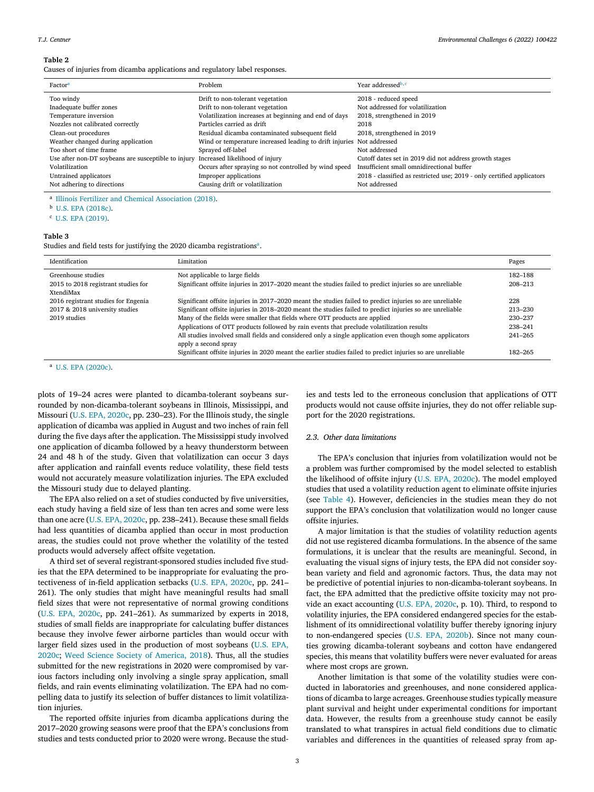#### <span id="page-3-0"></span>**Table 2**

Causes of injuries from dicamba applications and regulatory label responses.

| Factor <sup>a</sup>                                 | Problem                                                               | Year addressed <sup>b,c</sup>                                          |
|-----------------------------------------------------|-----------------------------------------------------------------------|------------------------------------------------------------------------|
| Too windy                                           | Drift to non-tolerant vegetation                                      | 2018 - reduced speed                                                   |
| Inadequate buffer zones                             | Drift to non-tolerant vegetation                                      | Not addressed for volatilization                                       |
| Temperature inversion                               | Volatilization increases at beginning and end of days                 | 2018, strengthened in 2019                                             |
| Nozzles not calibrated correctly                    | Particles carried as drift                                            | 2018                                                                   |
| Clean-out procedures                                | Residual dicamba contaminated subsequent field                        | 2018, strengthened in 2019                                             |
| Weather changed during application                  | Wind or temperature increased leading to drift injuries Not addressed |                                                                        |
| Too short of time frame                             | Sprayed off-label                                                     | Not addressed                                                          |
| Use after non-DT soybeans are susceptible to injury | Increased likelihood of injury                                        | Cutoff dates set in 2019 did not address growth stages                 |
| Volatilization                                      | Occurs after spraying so not controlled by wind speed                 | Insufficient small omnidirectional buffer                              |
| Untrained applicators                               | Improper applications                                                 | 2018 - classified as restricted use; 2019 - only certified applicators |
| Not adhering to directions                          | Causing drift or volatilization                                       | Not addressed                                                          |

<sup>a</sup> Illinois Fertilizer and Chemical [Association](#page-5-0) (2018).

<sup>b</sup> U.S. EPA [\(2018c\).](#page-5-0)

<sup>c</sup> U.S. EPA [\(2019\).](#page-5-0)

#### **Table 3**

Studies and field tests for justifying the 2020 dicamba registrations<sup>a</sup>.

| Identification                                                                        | Limitation                                                                                                                                                                                                                                                                                                                                                                                                                                                                                                                                                                                                                                        | Pages                                                          |
|---------------------------------------------------------------------------------------|---------------------------------------------------------------------------------------------------------------------------------------------------------------------------------------------------------------------------------------------------------------------------------------------------------------------------------------------------------------------------------------------------------------------------------------------------------------------------------------------------------------------------------------------------------------------------------------------------------------------------------------------------|----------------------------------------------------------------|
| Greenhouse studies<br>2015 to 2018 registrant studies for<br>XtendiMax                | Not applicable to large fields<br>Significant offsite injuries in 2017–2020 meant the studies failed to predict injuries so are unreliable                                                                                                                                                                                                                                                                                                                                                                                                                                                                                                        | 182-188<br>208-213                                             |
| 2016 registrant studies for Engenia<br>2017 & 2018 university studies<br>2019 studies | Significant offsite injuries in 2017–2020 meant the studies failed to predict injuries so are unreliable<br>Significant offsite injuries in 2018–2020 meant the studies failed to predict injuries so are unreliable<br>Many of the fields were smaller that fields where OTT products are applied<br>Applications of OTT products followed by rain events that preclude volatilization results<br>All studies involved small fields and considered only a single application even though some applicators<br>apply a second spray<br>Significant offsite injuries in 2020 meant the earlier studies failed to predict injuries so are unreliable | 228<br>213-230<br>230-237<br>238-241<br>$241 - 265$<br>182-265 |

<sup>a</sup> U.S. EPA [\(2020c\).](#page-5-0)

plots of 19–24 acres were planted to dicamba-tolerant soybeans surrounded by non-dicamba-tolerant soybeans in Illinois, Mississippi, and Missouri (U.S. EPA, [2020c,](#page-5-0) pp. 230–23). For the Illinois study, the single application of dicamba was applied in August and two inches of rain fell during the five days after the application. The Mississippi study involved one application of dicamba followed by a heavy thunderstorm between 24 and 48 h of the study. Given that volatilization can occur 3 days after application and rainfall events reduce volatility, these field tests would not accurately measure volatilization injuries. The EPA excluded the Missouri study due to delayed planting.

The EPA also relied on a set of studies conducted by five universities, each study having a field size of less than ten acres and some were less than one acre (U.S. EPA, [2020c,](#page-5-0) pp. 238–241). Because these small fields had less quantities of dicamba applied than occur in most production areas, the studies could not prove whether the volatility of the tested products would adversely affect offsite vegetation.

A third set of several registrant-sponsored studies included five studies that the EPA determined to be inappropriate for evaluating the protectiveness of in-field application setbacks (U.S. EPA, [2020c,](#page-5-0) pp. 241– 261). The only studies that might have meaningful results had small field sizes that were not representative of normal growing conditions (U.S. EPA, [2020c,](#page-5-0) pp. 241–261). As summarized by experts in 2018, studies of small fields are inappropriate for calculating buffer distances because they involve fewer airborne particles than would occur with larger field sizes used in the [production](#page-5-0) of most soybeans (U.S. EPA, 2020c; Weed Science Society of [America,](#page-5-0) 2018). Thus, all the studies submitted for the new registrations in 2020 were compromised by various factors including only involving a single spray application, small fields, and rain events eliminating volatilization. The EPA had no compelling data to justify its selection of buffer distances to limit volatilization injuries.

The reported offsite injuries from dicamba applications during the 2017–2020 growing seasons were proof that the EPA's conclusions from studies and tests conducted prior to 2020 were wrong. Because the stud-

ies and tests led to the erroneous conclusion that applications of OTT products would not cause offsite injuries, they do not offer reliable support for the 2020 registrations.

#### *2.3. Other data limitations*

The EPA's conclusion that injuries from volatilization would not be a problem was further compromised by the model selected to establish the likelihood of offsite injury (U.S. EPA, [2020c\)](#page-5-0). The model employed studies that used a volatility reduction agent to eliminate offsite injuries (see [Table](#page-4-0) 4). However, deficiencies in the studies mean they do not support the EPA's conclusion that volatilization would no longer cause offsite injuries.

A major limitation is that the studies of volatility reduction agents did not use registered dicamba formulations. In the absence of the same formulations, it is unclear that the results are meaningful. Second, in evaluating the visual signs of injury tests, the EPA did not consider soybean variety and field and agronomic factors. Thus, the data may not be predictive of potential injuries to non-dicamba-tolerant soybeans. In fact, the EPA admitted that the predictive offsite toxicity may not provide an exact accounting (U.S. EPA, [2020c,](#page-5-0) p. 10). Third, to respond to volatility injuries, the EPA considered endangered species for the establishment of its omnidirectional volatility buffer thereby ignoring injury to non-endangered species (U.S. EPA, [2020b\)](#page-5-0). Since not many counties growing dicamba-tolerant soybeans and cotton have endangered species, this means that volatility buffers were never evaluated for areas where most crops are grown.

Another limitation is that some of the volatility studies were conducted in laboratories and greenhouses, and none considered applications of dicamba to large acreages. Greenhouse studies typically measure plant survival and height under experimental conditions for important data. However, the results from a greenhouse study cannot be easily translated to what transpires in actual field conditions due to climatic variables and differences in the quantities of released spray from ap-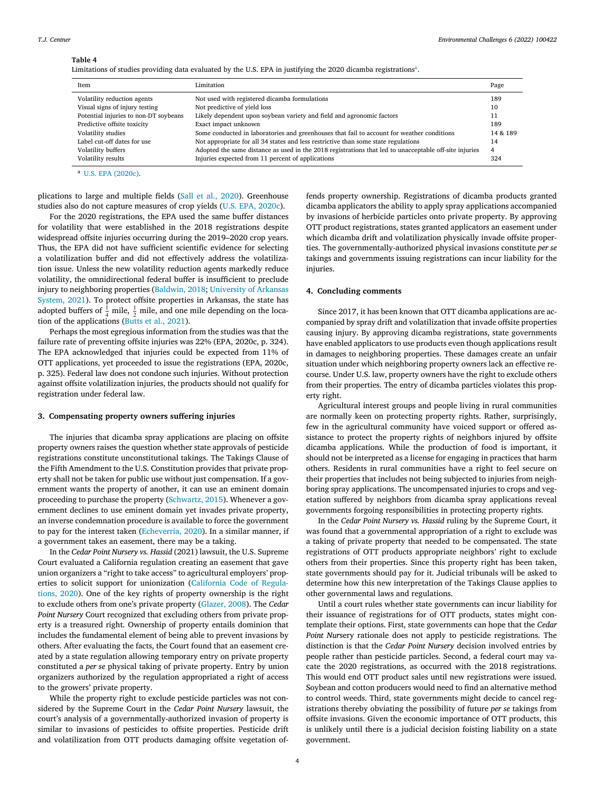# <span id="page-4-0"></span>**Table 4**

|  |  | Limitations of studies providing data evaluated by the U.S. EPA in justifying the 2020 dicamba registrations <sup>a</sup> . |
|--|--|-----------------------------------------------------------------------------------------------------------------------------|
|  |  |                                                                                                                             |

| <b>Item</b>                           | Limitation                                                                                             | Page     |
|---------------------------------------|--------------------------------------------------------------------------------------------------------|----------|
| Volatility reduction agents           | Not used with registered dicamba formulations                                                          | 189      |
| Visual signs of injury testing        | Not predictive of yield loss                                                                           | 10       |
| Potential injuries to non-DT soybeans | Likely dependent upon soybean variety and field and agronomic factors                                  | 11       |
| Predictive offsite toxicity           | Exact impact unknown                                                                                   | 189      |
| Volatility studies                    | Some conducted in laboratories and greenhouses that fail to account for weather conditions             | 14 & 189 |
| Label cut-off dates for use           | Not appropriate for all 34 states and less restrictive than some state regulations                     | 14       |
| Volatility buffers                    | Adopted the same distance as used in the 2018 registrations that led to unacceptable off-site injuries | 4        |
| Volatility results                    | Injuries expected from 11 percent of applications                                                      | 324      |

 $\overline{a}$  U.S. EPA [\(2020c\).](#page-5-0)

plications to large and multiple fields (Sall et al., [2020\)](#page-5-0). Greenhouse studies also do not capture measures of crop yields (U.S. EPA, [2020c\)](#page-5-0).

For the 2020 registrations, the EPA used the same buffer distances for volatility that were established in the 2018 registrations despite widespread offsite injuries occurring during the 2019–2020 crop years. Thus, the EPA did not have sufficient scientific evidence for selecting a volatilization buffer and did not effectively address the volatilization issue. Unless the new volatility reduction agents markedly reduce volatility, the omnidirectional federal buffer is insufficient to preclude injury to [neighboring](#page-5-0) properties [\(Baldwin,](#page-5-0) 2018; University of Arkansas System, 2021). To protect offsite properties in Arkansas, the state has adopted buffers of  $\frac{1}{4}$  mile,  $\frac{1}{2}$  mile, and one mile depending on the location of the applications (Butts et al., [2021\)](#page-5-0).

Perhaps the most egregious information from the studies was that the failure rate of preventing offsite injuries was 22% (EPA, 2020c, p. 324). The EPA acknowledged that injuries could be expected from 11% of OTT applications, yet proceeded to issue the registrations (EPA, 2020c, p. 325). Federal law does not condone such injuries. Without protection against offsite volatilization injuries, the products should not qualify for registration under federal law.

#### **3. Compensating property owners suffering injuries**

The injuries that dicamba spray applications are placing on offsite property owners raises the question whether state approvals of pesticide registrations constitute unconstitutional takings. The Takings Clause of the Fifth Amendment to the U.S. Constitution provides that private property shall not be taken for public use without just compensation. If a government wants the property of another, it can use an eminent domain proceeding to purchase the property [\(Schwartz,](#page-5-0) 2015). Whenever a government declines to use eminent domain yet invades private property, an inverse condemnation procedure is available to force the government to pay for the interest taken [\(Echeverria,](#page-5-0) 2020). In a similar manner, if a government takes an easement, there may be a taking.

In the *Cedar Point Nursery vs. Hassid* (2021) lawsuit, the U.S. Supreme Court evaluated a California regulation creating an easement that gave union organizers a "right to take access" to agricultural employers' properties to solicit support for [unionization](#page-5-0) (California Code of Regulations, 2020). One of the key rights of property ownership is the right to exclude others from one's private property [\(Glazer,](#page-5-0) 2008). The *Cedar Point Nursery* Court recognized that excluding others from private property is a treasured right. Ownership of property entails dominion that includes the fundamental element of being able to prevent invasions by others. After evaluating the facts, the Court found that an easement created by a state regulation allowing temporary entry on private property constituted a *per se* physical taking of private property. Entry by union organizers authorized by the regulation appropriated a right of access to the growers' private property.

While the property right to exclude pesticide particles was not considered by the Supreme Court in the *Cedar Point Nursery* lawsuit, the court's analysis of a governmentally-authorized invasion of property is similar to invasions of pesticides to offsite properties. Pesticide drift and volatilization from OTT products damaging offsite vegetation offends property ownership. Registrations of dicamba products granted dicamba applicators the ability to apply spray applications accompanied by invasions of herbicide particles onto private property. By approving OTT product registrations, states granted applicators an easement under which dicamba drift and volatilization physically invade offsite properties. The governmentally-authorized physical invasions constitute *per se* takings and governments issuing registrations can incur liability for the injuries.

#### **4. Concluding comments**

Since 2017, it has been known that OTT dicamba applications are accompanied by spray drift and volatilization that invade offsite properties causing injury. By approving dicamba registrations, state governments have enabled applicators to use products even though applications result in damages to neighboring properties. These damages create an unfair situation under which neighboring property owners lack an effective recourse. Under U.S. law, property owners have the right to exclude others from their properties. The entry of dicamba particles violates this property right.

Agricultural interest groups and people living in rural communities are normally keen on protecting property rights. Rather, surprisingly, few in the agricultural community have voiced support or offered assistance to protect the property rights of neighbors injured by offsite dicamba applications. While the production of food is important, it should not be interpreted as a license for engaging in practices that harm others. Residents in rural communities have a right to feel secure on their properties that includes not being subjected to injuries from neighboring spray applications. The uncompensated injuries to crops and vegetation suffered by neighbors from dicamba spray applications reveal governments forgoing responsibilities in protecting property rights.

In the *Cedar Point Nursery vs. Hassid* ruling by the Supreme Court, it was found that a governmental appropriation of a right to exclude was a taking of private property that needed to be compensated. The state registrations of OTT products appropriate neighbors' right to exclude others from their properties. Since this property right has been taken, state governments should pay for it. Judicial tribunals will be asked to determine how this new interpretation of the Takings Clause applies to other governmental laws and regulations.

Until a court rules whether state governments can incur liability for their issuance of registrations for of OTT products, states might contemplate their options. First, state governments can hope that the *Cedar Point Nur*sery rationale does not apply to pesticide registrations. The distinction is that the *Cedar Point Nursery* decision involved entries by people rather than pesticide particles. Second, a federal court may vacate the 2020 registrations, as occurred with the 2018 registrations. This would end OTT product sales until new registrations were issued. Soybean and cotton producers would need to find an alternative method to control weeds. Third, state governments might decide to cancel registrations thereby obviating the possibility of future *per se* takings from offsite invasions. Given the economic importance of OTT products, this is unlikely until there is a judicial decision foisting liability on a state government.